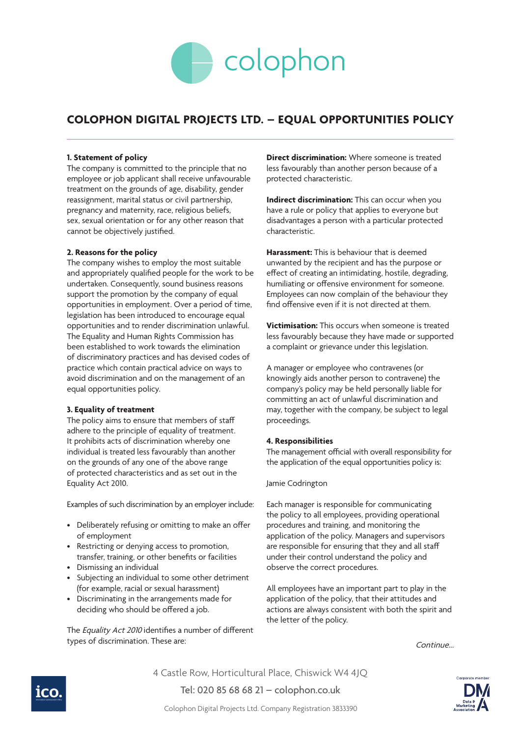

# **COLOPHON DIGITAL PROJECTS LTD. – EQUAL OPPORTUNITIES POLICY**

### **1. Statement of policy**

The company is committed to the principle that no employee or job applicant shall receive unfavourable treatment on the grounds of age, disability, gender reassignment, marital status or civil partnership, pregnancy and maternity, race, religious beliefs, sex, sexual orientation or for any other reason that cannot be objectively justified.

### **2. Reasons for the policy**

The company wishes to employ the most suitable and appropriately qualified people for the work to be undertaken. Consequently, sound business reasons support the promotion by the company of equal opportunities in employment. Over a period of time, legislation has been introduced to encourage equal opportunities and to render discrimination unlawful. The Equality and Human Rights Commission has been established to work towards the elimination of discriminatory practices and has devised codes of practice which contain practical advice on ways to avoid discrimination and on the management of an equal opportunities policy.

### **3. Equality of treatment**

The policy aims to ensure that members of staff adhere to the principle of equality of treatment. It prohibits acts of discrimination whereby one individual is treated less favourably than another on the grounds of any one of the above range of protected characteristics and as set out in the Equality Act 2010.

Examples of such discrimination by an employer include:

- Deliberately refusing or omitting to make an offer of employment
- Restricting or denying access to promotion, transfer, training, or other benefits or facilities
- Dismissing an individual
- Subjecting an individual to some other detriment (for example, racial or sexual harassment)
- Discriminating in the arrangements made for deciding who should be offered a job.

The Equality Act 2010 identifies a number of different types of discrimination. These are:

**Direct discrimination:** Where someone is treated less favourably than another person because of a protected characteristic.

**Indirect discrimination:** This can occur when you have a rule or policy that applies to everyone but disadvantages a person with a particular protected characteristic.

**Harassment:** This is behaviour that is deemed unwanted by the recipient and has the purpose or effect of creating an intimidating, hostile, degrading, humiliating or offensive environment for someone. Employees can now complain of the behaviour they find offensive even if it is not directed at them.

**Victimisation:** This occurs when someone is treated less favourably because they have made or supported a complaint or grievance under this legislation.

A manager or employee who contravenes (or knowingly aids another person to contravene) the company's policy may be held personally liable for committing an act of unlawful discrimination and may, together with the company, be subject to legal proceedings.

### **4. Responsibilities**

The management official with overall responsibility for the application of the equal opportunities policy is:

### Jamie Codrington

Each manager is responsible for communicating the policy to all employees, providing operational procedures and training, and monitoring the application of the policy. Managers and supervisors are responsible for ensuring that they and all staff under their control understand the policy and observe the correct procedures.

All employees have an important part to play in the application of the policy, that their attitudes and actions are always consistent with both the spirit and the letter of the policy.

Continue...



4 Castle Row, Horticultural Place, Chiswick W4 4JQ

Tel: 020 85 68 68 21 – colophon.co.uk